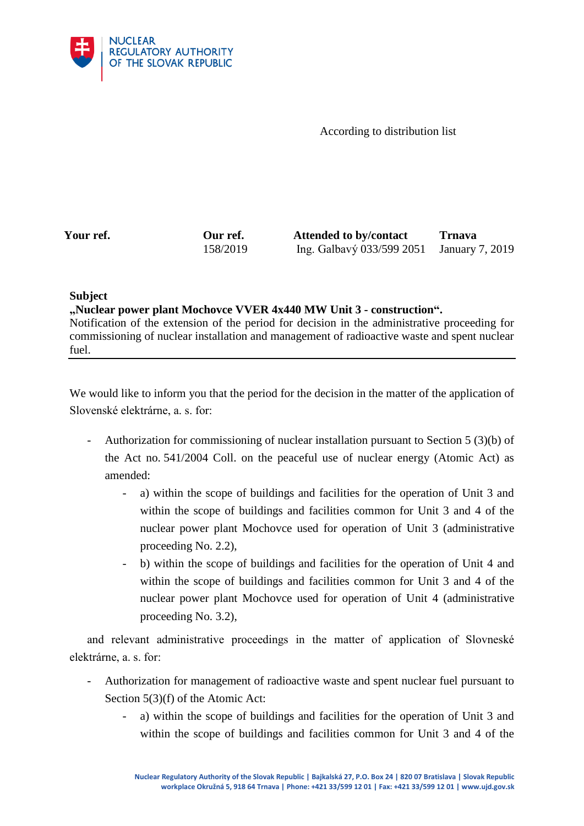

According to distribution list

**Your ref. Our ref. Attended to by/contact Trnava** 158/2019 Ing. Galbavý 033/599 2051 January 7, 2019

## **Subject**

**"Nuclear power plant Mochovce VVER 4x440 MW Unit 3 - construction".** Notification of the extension of the period for decision in the administrative proceeding for commissioning of nuclear installation and management of radioactive waste and spent nuclear fuel.

We would like to inform you that the period for the decision in the matter of the application of Slovenské elektrárne, a. s. for:

- Authorization for commissioning of nuclear installation pursuant to Section 5 (3)(b) of the Act no. 541/2004 Coll. on the peaceful use of nuclear energy (Atomic Act) as amended:
	- a) within the scope of buildings and facilities for the operation of Unit 3 and within the scope of buildings and facilities common for Unit 3 and 4 of the nuclear power plant Mochovce used for operation of Unit 3 (administrative proceeding No. 2.2),
	- b) within the scope of buildings and facilities for the operation of Unit 4 and within the scope of buildings and facilities common for Unit 3 and 4 of the nuclear power plant Mochovce used for operation of Unit 4 (administrative proceeding No. 3.2),

and relevant administrative proceedings in the matter of application of Slovneské elektrárne, a. s. for:

- Authorization for management of radioactive waste and spent nuclear fuel pursuant to Section 5(3)(f) of the Atomic Act:
	- a) within the scope of buildings and facilities for the operation of Unit 3 and within the scope of buildings and facilities common for Unit 3 and 4 of the